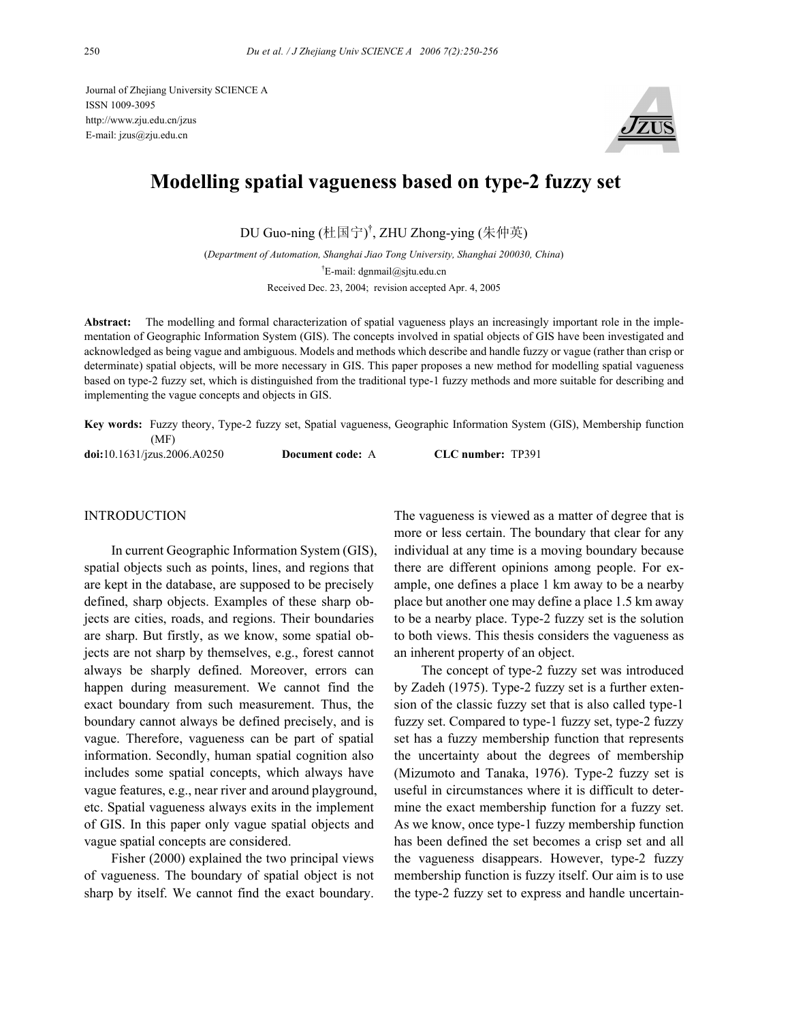Journal of Zhejiang University SCIENCE A ISSN 1009-3095 http://www.zju.edu.cn/jzus E-mail: jzus@zju.edu.cn



# **Modelling spatial vagueness based on type-2 fuzzy set**

DU Guo-ning (杜国宁) † , ZHU Zhong-ying (朱仲英)

(*Department of Automation, Shanghai Jiao Tong University, Shanghai 200030, China*) † E-mail: dgnmail@sjtu.edu.cn Received Dec. 23, 2004; revision accepted Apr. 4, 2005

**Abstract:** The modelling and formal characterization of spatial vagueness plays an increasingly important role in the implementation of Geographic Information System (GIS). The concepts involved in spatial objects of GIS have been investigated and acknowledged as being vague and ambiguous. Models and methods which describe and handle fuzzy or vague (rather than crisp or determinate) spatial objects, will be more necessary in GIS. This paper proposes a new method for modelling spatial vagueness based on type-2 fuzzy set, which is distinguished from the traditional type-1 fuzzy methods and more suitable for describing and implementing the vague concepts and objects in GIS.

**Key words:** Fuzzy theory, Type-2 fuzzy set, Spatial vagueness, Geographic Information System (GIS), Membership function (MF) **doi:**10.1631/jzus.2006.A0250 **Document code:** A **CLC number:** TP391

#### **INTRODUCTION**

In current Geographic Information System (GIS), spatial objects such as points, lines, and regions that are kept in the database, are supposed to be precisely defined, sharp objects. Examples of these sharp objects are cities, roads, and regions. Their boundaries are sharp. But firstly, as we know, some spatial objects are not sharp by themselves, e.g., forest cannot always be sharply defined. Moreover, errors can happen during measurement. We cannot find the exact boundary from such measurement. Thus, the boundary cannot always be defined precisely, and is vague. Therefore, vagueness can be part of spatial information. Secondly, human spatial cognition also includes some spatial concepts, which always have vague features, e.g., near river and around playground, etc. Spatial vagueness always exits in the implement of GIS. In this paper only vague spatial objects and vague spatial concepts are considered.

Fisher (2000) explained the two principal views of vagueness. The boundary of spatial object is not sharp by itself. We cannot find the exact boundary.

The vagueness is viewed as a matter of degree that is more or less certain. The boundary that clear for any individual at any time is a moving boundary because there are different opinions among people. For example, one defines a place 1 km away to be a nearby place but another one may define a place 1.5 km away to be a nearby place. Type-2 fuzzy set is the solution to both views. This thesis considers the vagueness as an inherent property of an object.

The concept of type-2 fuzzy set was introduced by Zadeh (1975). Type-2 fuzzy set is a further extension of the classic fuzzy set that is also called type-1 fuzzy set. Compared to type-1 fuzzy set, type-2 fuzzy set has a fuzzy membership function that represents the uncertainty about the degrees of membership (Mizumoto and Tanaka, 1976). Type-2 fuzzy set is useful in circumstances where it is difficult to determine the exact membership function for a fuzzy set. As we know, once type-1 fuzzy membership function has been defined the set becomes a crisp set and all the vagueness disappears. However, type-2 fuzzy membership function is fuzzy itself. Our aim is to use the type-2 fuzzy set to express and handle uncertain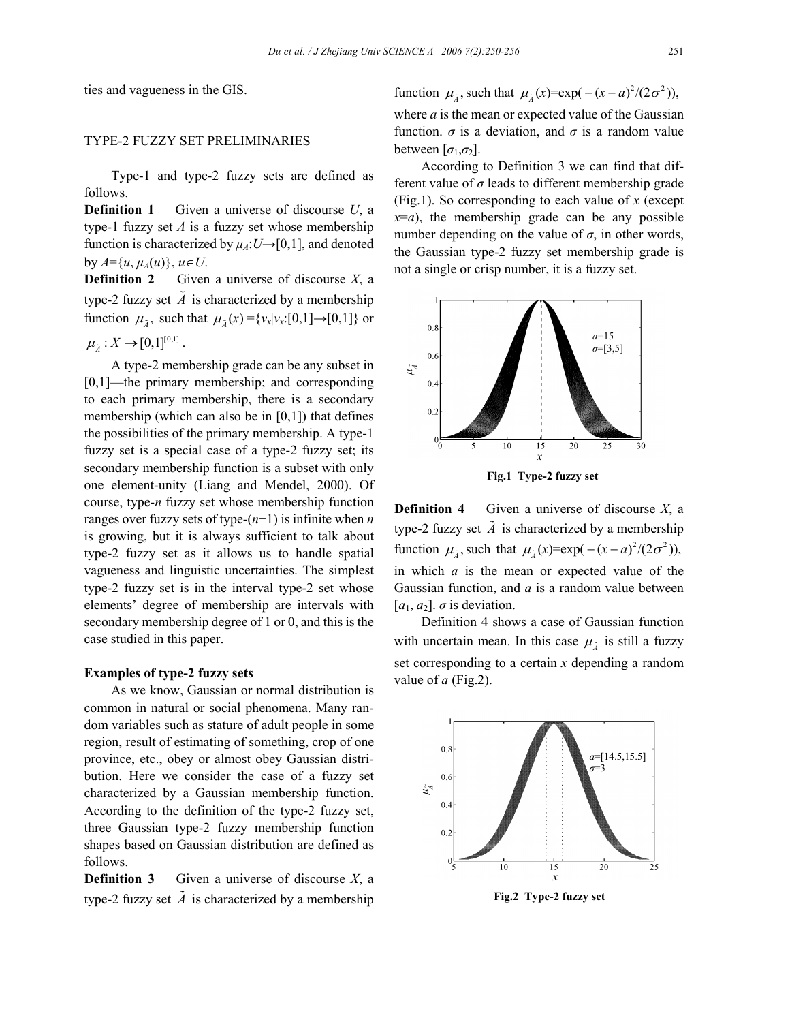ties and vagueness in the GIS.

# TYPE-2 FUZZY SET PRELIMINARIES

Type-1 and type-2 fuzzy sets are defined as follows.

**Definition 1** Given a universe of discourse *U*, a type-1 fuzzy set  $A$  is a fuzzy set whose membership function is characterized by  $\mu_A: U \rightarrow [0,1]$ , and denoted  $by A = \{u, \mu_A(u)\}, u \in U.$ 

**Definition 2** Given a universe of discourse  $X$ , a type-2 fuzzy set  $\tilde{A}$  is characterized by a membership function  $\mu_{\tilde{\lambda}}$ , such that  $\mu_{\tilde{\lambda}}(x) = \{v_x | v_x : [0,1] \to [0,1] \}$  or

$$
\mu_{\tilde{A}}: X \to [0,1]^{[0,1]}.
$$

A type-2 membership grade can be any subset in [0,1]—the primary membership; and corresponding to each primary membership, there is a secondary membership (which can also be in [0,1]) that defines the possibilities of the primary membership. A type-1 fuzzy set is a special case of a type-2 fuzzy set; its secondary membership function is a subset with only one element-unity (Liang and Mendel, 2000). Of course, type-*n* fuzzy set whose membership function ranges over fuzzy sets of type-(*n*−1) is infinite when *n* is growing, but it is always sufficient to talk about type-2 fuzzy set as it allows us to handle spatial vagueness and linguistic uncertainties. The simplest type-2 fuzzy set is in the interval type-2 set whose elements' degree of membership are intervals with secondary membership degree of 1 or 0, and this is the case studied in this paper.

#### **Examples of type-2 fuzzy sets**

As we know, Gaussian or normal distribution is common in natural or social phenomena. Many random variables such as stature of adult people in some region, result of estimating of something, crop of one province, etc., obey or almost obey Gaussian distribution. Here we consider the case of a fuzzy set characterized by a Gaussian membership function. According to the definition of the type-2 fuzzy set, three Gaussian type-2 fuzzy membership function shapes based on Gaussian distribution are defined as follows.

**Definition 3** Given a universe of discourse  $X$ , a type-2 fuzzy set  $\tilde{A}$  is characterized by a membership function  $\mu_{\tilde{i}}$ , such that  $\mu_{\tilde{i}}(x) = \exp(-(x-a)^2/(2\sigma^2))$ , where *a* is the mean or expected value of the Gaussian function.  $\sigma$  is a deviation, and  $\sigma$  is a random value between  $[\sigma_1, \sigma_2]$ .

According to Definition 3 we can find that different value of *σ* leads to different membership grade (Fig.1). So corresponding to each value of *x* (except  $x=a$ , the membership grade can be any possible number depending on the value of  $\sigma$ , in other words, the Gaussian type-2 fuzzy set membership grade is not a single or crisp number, it is a fuzzy set.





Definition 4 shows a case of Gaussian function with uncertain mean. In this case  $\mu_{\tilde{a}}$  is still a fuzzy set corresponding to a certain *x* depending a random value of *a* (Fig.2).

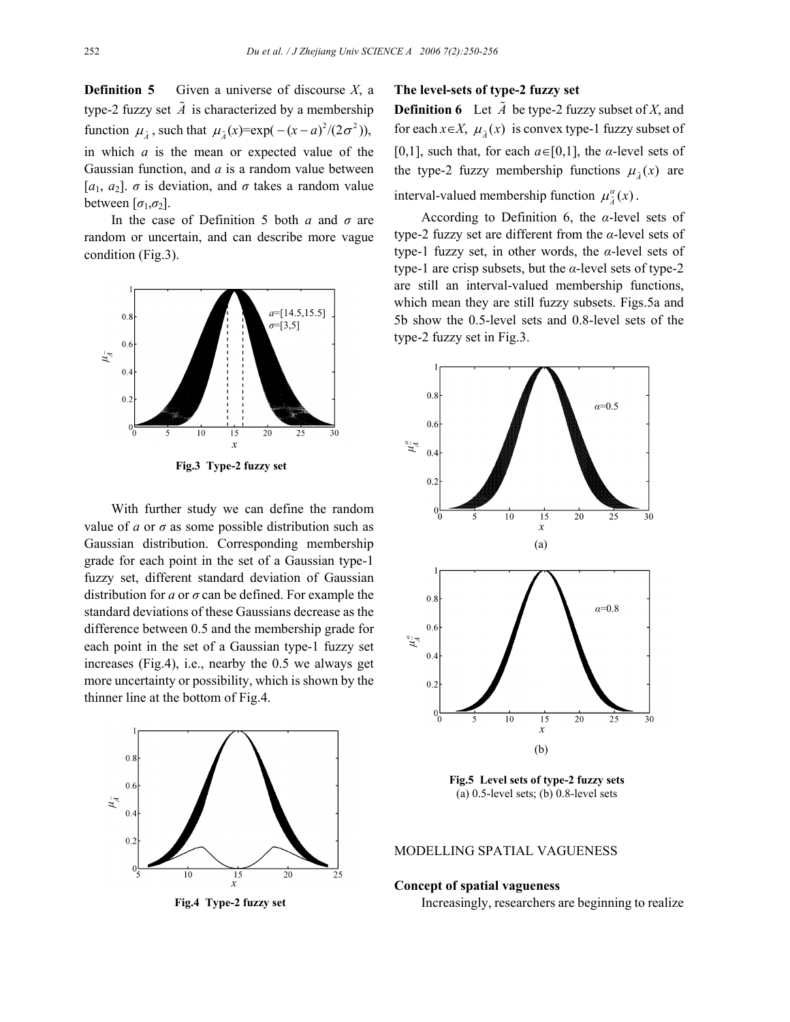**Definition 5** Given a universe of discourse *X*, a type-2 fuzzy set  $\tilde{A}$  is characterized by a membership function  $\mu_{\tilde{\lambda}}$ , such that  $\mu_{\tilde{\lambda}}(x) = \exp(-(x-a)^2/(2\sigma^2))$ , in which *a* is the mean or expected value of the Gaussian function, and *a* is a random value between [*a*1, *a*2]. *σ* is deviation, and *σ* takes a random value between  $[\sigma_1, \sigma_2]$ .

In the case of Definition 5 both *a* and *σ* are random or uncertain, and can describe more vague condition (Fig.3).



**Fig.3 Type-2 fuzzy set**

With further study we can define the random value of  $\alpha$  or  $\sigma$  as some possible distribution such as Gaussian distribution. Corresponding membership grade for each point in the set of a Gaussian type-1 fuzzy set, different standard deviation of Gaussian distribution for *a* or *σ* can be defined. For example the standard deviations of these Gaussians decrease as the difference between 0.5 and the membership grade for each point in the set of a Gaussian type-1 fuzzy set increases (Fig.4), i.e., nearby the 0.5 we always get more uncertainty or possibility, which is shown by the thinner line at the bottom of Fig.4.



**Fig.4 Type-2 fuzzy set**

## **The level-sets of type-2 fuzzy set**

**Definition 6** Let  $\tilde{A}$  be type-2 fuzzy subset of *X*, and for each  $x \in X$ ,  $\mu_{\lambda}(x)$  is convex type-1 fuzzy subset of [0,1], such that, for each  $a \in [0,1]$ , the *α*-level sets of the type-2 fuzzy membership functions  $\mu_{\tilde{A}}(x)$  are interval-valued membership function  $\mu_{\tilde{i}}^{\alpha}(x)$ .

According to Definition 6, the *α*-level sets of type-2 fuzzy set are different from the *α*-level sets of type-1 fuzzy set, in other words, the *α*-level sets of type-1 are crisp subsets, but the *α*-level sets of type-2 are still an interval-valued membership functions, which mean they are still fuzzy subsets. Figs.5a and 5b show the 0.5-level sets and 0.8-level sets of the type-2 fuzzy set in Fig.3.



**Fig.5 Level sets of type-2 fuzzy sets**  (a) 0.5-level sets; (b) 0.8-level sets

#### MODELLING SPATIAL VAGUENESS

# **Concept of spatial vagueness**

Increasingly, researchers are beginning to realize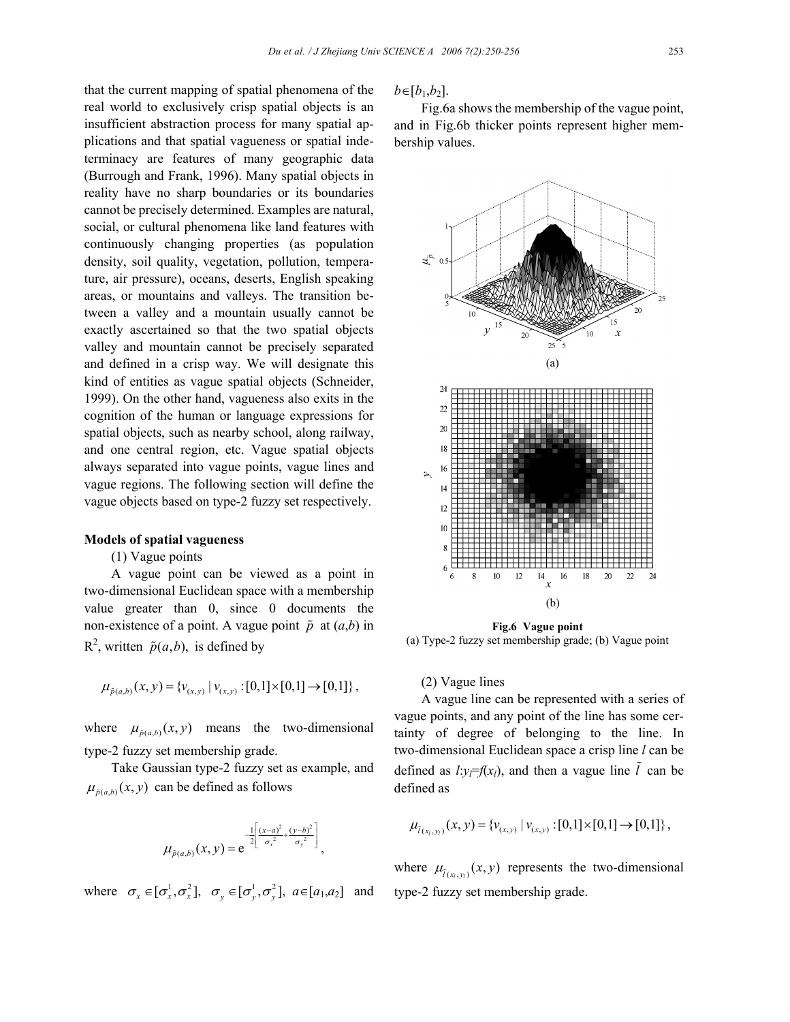that the current mapping of spatial phenomena of the real world to exclusively crisp spatial objects is an insufficient abstraction process for many spatial applications and that spatial vagueness or spatial indeterminacy are features of many geographic data (Burrough and Frank, 1996). Many spatial objects in reality have no sharp boundaries or its boundaries cannot be precisely determined. Examples are natural, social, or cultural phenomena like land features with continuously changing properties (as population density, soil quality, vegetation, pollution, temperature, air pressure), oceans, deserts, English speaking areas, or mountains and valleys. The transition between a valley and a mountain usually cannot be exactly ascertained so that the two spatial objects valley and mountain cannot be precisely separated and defined in a crisp way. We will designate this kind of entities as vague spatial objects (Schneider, 1999). On the other hand, vagueness also exits in the cognition of the human or language expressions for spatial objects, such as nearby school, along railway, and one central region, etc. Vague spatial objects always separated into vague points, vague lines and vague regions. The following section will define the vague objects based on type-2 fuzzy set respectively.

## **Models of spatial vagueness**

(1) Vague points

A vague point can be viewed as a point in two-dimensional Euclidean space with a membership value greater than 0, since 0 documents the non-existence of a point. A vague point  $\tilde{p}$  at  $(a,b)$  in  $R^2$ , written  $\tilde{p}(a, b)$ , is defined by

$$
\mu_{\tilde{p}(a,b)}(x,y) = \{v_{(x,y)} \mid v_{(x,y)} : [0,1] \times [0,1] \to [0,1] \},
$$

where  $\mu_{\tilde{p}(a,b)}(x, y)$  means the two-dimensional type-2 fuzzy set membership grade.

Take Gaussian type-2 fuzzy set as example, and  $\mu_{\tilde{p}(a,b)}(x, y)$  can be defined as follows

$$
\mu_{\tilde{p}(a,b)}(x,y) = e^{-\frac{1}{2} \left[ \frac{(x-a)^2}{\sigma_x^2} + \frac{(y-b)^2}{\sigma_y^2} \right]},
$$

where  $\sigma_r \in [\sigma_r^1, \sigma_r^2], \quad \sigma_v \in [\sigma_v^1, \sigma_v^2], \quad a \in [a_1, a_2]$  and

 $b ∈ [b_1, b_2]$ .

Fig.6a shows the membership of the vague point, and in Fig.6b thicker points represent higher membership values.



**Fig.6 Vague point**  (a) Type-2 fuzzy set membership grade; (b) Vague point

## (2) Vague lines

A vague line can be represented with a series of vague points, and any point of the line has some certainty of degree of belonging to the line. In two-dimensional Euclidean space a crisp line *l* can be defined as  $l: y \neq f(x_l)$ , and then a vague line  $\tilde{l}$  can be defined as

$$
\mu_{\tilde{l}(x_i,y_i)}(x,y) = \{v_{(x,y)} \mid v_{(x,y)} : [0,1] \times [0,1] \to [0,1] \},\
$$

where  $\mu_{\tilde{l}(x, y)}(x, y)$  represents the two-dimensional type-2 fuzzy set membership grade.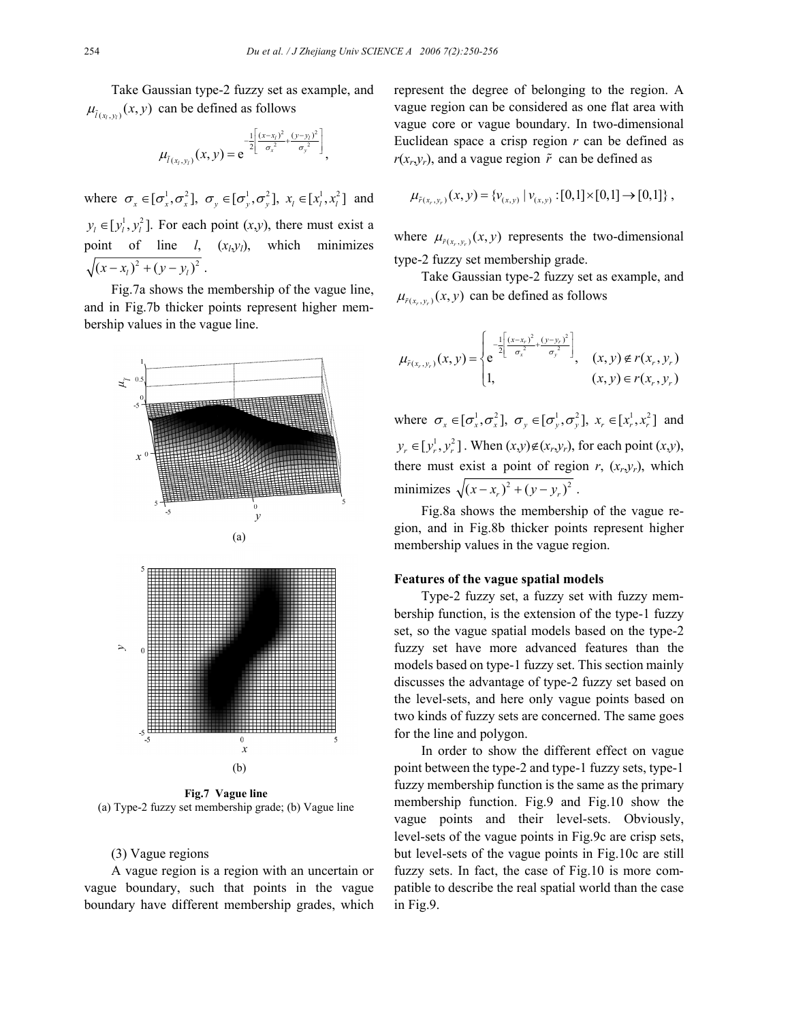Take Gaussian type-2 fuzzy set as example, and  $\mu_{\tilde{l}(x, y)}(x, y)$  can be defined as follows

$$
\mu_{\tilde{l}(x_l,y_l)}(x,y) = e^{-\frac{1}{2\left[\frac{(x-x_l)^2}{\sigma_x^2} + \frac{(y-y_l)^2}{\sigma_y^2}\right]},
$$

where  $\sigma_r \in [\sigma_r^1, \sigma_r^2]$ ,  $\sigma_v \in [\sigma_v^1, \sigma_v^2]$ ,  $x_i \in [x_i^1, x_i^2]$  and  $y_i \in [y_i^1, y_i^2]$ . For each point  $(x, y)$ , there must exist a point of line *l*, (*xl*,*yl*), which minimizes  $\sqrt{(x-x_i)^2 + (y-y_i)^2}$ .

Fig.7a shows the membership of the vague line, and in Fig.7b thicker points represent higher membership values in the vague line.

![](_page_4_Figure_5.jpeg)

**Fig.7 Vague line**  (a) Type-2 fuzzy set membership grade; (b) Vague line

## (3) Vague regions

A vague region is a region with an uncertain or vague boundary, such that points in the vague boundary have different membership grades, which

represent the degree of belonging to the region. A vague region can be considered as one flat area with vague core or vague boundary. In two-dimensional Euclidean space a crisp region *r* can be defined as  $r(x_r, y_r)$ , and a vague region  $\tilde{r}$  can be defined as

$$
\mu_{\tilde{r}(x_r,y_r)}(x,y) = \{v_{(x,y)} \mid v_{(x,y)} : [0,1] \times [0,1] \to [0,1] \},
$$

where  $\mu_{\tilde{r}(x_r, y_r)}(x, y)$  represents the two-dimensional type-2 fuzzy set membership grade.

Take Gaussian type-2 fuzzy set as example, and  $\mu_{\tilde{r}(x_1, y_1)}(x, y)$  can be defined as follows

$$
\mu_{\tilde{r}(x_r,y_r)}(x,y) = \begin{cases} e^{-\frac{1}{2} \left[ \frac{(x-x_r)^2}{\sigma_x^2} + \frac{(y-y_r)^2}{\sigma_y^2} \right]} \\ 1, & (x,y) \notin r(x_r,y_r) \\ 1, & (x,y) \in r(x_r,y_r) \end{cases}
$$

where  $\sigma_x \in [\sigma_x^1, \sigma_x^2]$ ,  $\sigma_y \in [\sigma_y^1, \sigma_y^2]$ ,  $x_r \in [x_r^1, x_r^2]$  and  $y_r \in [y_r^1, y_r^2]$ . When  $(x, y) \notin (x_r, y_r)$ , for each point  $(x, y)$ , there must exist a point of region  $r$ ,  $(x_r, y_r)$ , which minimizes  $\sqrt{(x - x_{r})^{2} + (y - y_{r})^{2}}$ .

Fig.8a shows the membership of the vague region, and in Fig.8b thicker points represent higher membership values in the vague region.

#### **Features of the vague spatial models**

Type-2 fuzzy set, a fuzzy set with fuzzy membership function, is the extension of the type-1 fuzzy set, so the vague spatial models based on the type-2 fuzzy set have more advanced features than the models based on type-1 fuzzy set. This section mainly discusses the advantage of type-2 fuzzy set based on the level-sets, and here only vague points based on two kinds of fuzzy sets are concerned. The same goes for the line and polygon.

In order to show the different effect on vague point between the type-2 and type-1 fuzzy sets, type-1 fuzzy membership function is the same as the primary membership function. Fig.9 and Fig.10 show the vague points and their level-sets. Obviously, level-sets of the vague points in Fig.9c are crisp sets, but level-sets of the vague points in Fig.10c are still fuzzy sets. In fact, the case of Fig.10 is more compatible to describe the real spatial world than the case in Fig.9.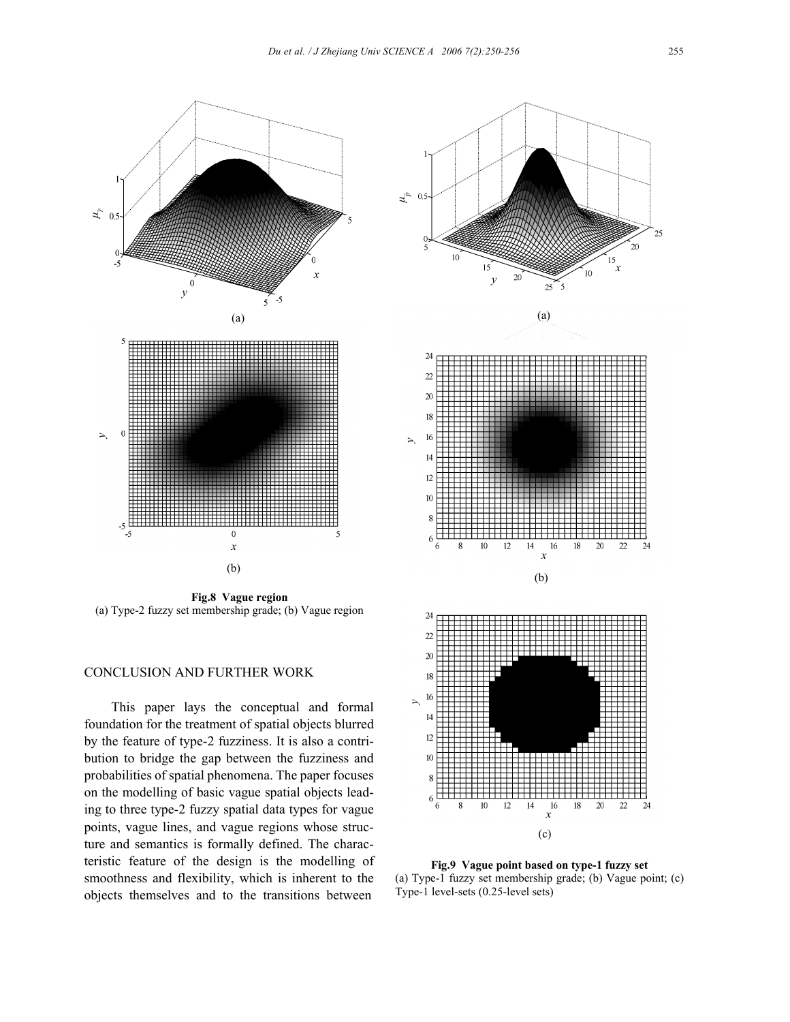![](_page_5_Figure_1.jpeg)

**Fig.8 Vague region**  (a) Type-2 fuzzy set membership grade; (b) Vague region

# CONCLUSION AND FURTHER WORK

This paper lays the conceptual and formal foundation for the treatment of spatial objects blurred by the feature of type-2 fuzziness. It is also a contribution to bridge the gap between the fuzziness and probabilities of spatial phenomena. The paper focuses on the modelling of basic vague spatial objects leading to three type-2 fuzzy spatial data types for vague points, vague lines, and vague regions whose structure and semantics is formally defined. The characteristic feature of the design is the modelling of smoothness and flexibility, which is inherent to the objects themselves and to the transitions between

![](_page_5_Figure_5.jpeg)

**Fig.9 Vague point based on type-1 fuzzy set**  (a) Type-1 fuzzy set membership grade; (b) Vague point; (c) Type-1 level-sets (0.25-level sets)